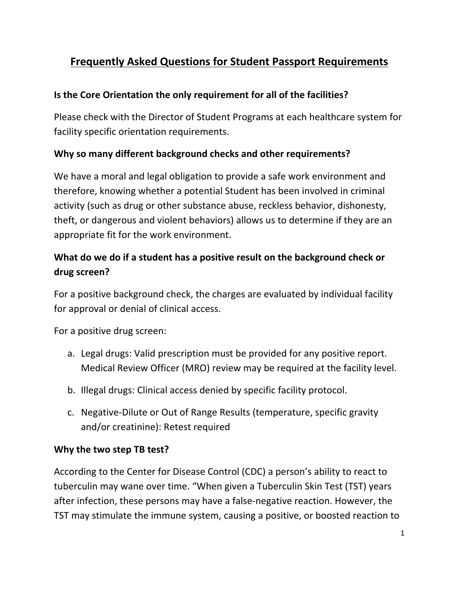# **Frequently Asked Questions for Student Passport Requirements**

#### **Is the Core Orientation the only requirement for all of the facilities?**

Please check with the Director of Student Programs at each healthcare system for facility specific orientation requirements.

#### **Why so many different background checks and other requirements?**

We have a moral and legal obligation to provide a safe work environment and therefore, knowing whether a potential Student has been involved in criminal activity (such as drug or other substance abuse, reckless behavior, dishonesty, theft, or dangerous and violent behaviors) allows us to determine if they are an appropriate fit for the work environment.

## **What do we do if a student has a positive result on the background check or drug screen?**

For a positive background check, the charges are evaluated by individual facility for approval or denial of clinical access.

For a positive drug screen:

- a. Legal drugs: Valid prescription must be provided for any positive report. Medical Review Officer (MRO) review may be required at the facility level.
- b. Illegal drugs: Clinical access denied by specific facility protocol.
- c. Negative‐Dilute or Out of Range Results (temperature, specific gravity and/or creatinine): Retest required

#### **Why the two step TB test?**

According to the Center for Disease Control (CDC) a person's ability to react to tuberculin may wane over time. "When given a Tuberculin Skin Test (TST) years after infection, these persons may have a false‐negative reaction. However, the TST may stimulate the immune system, causing a positive, or boosted reaction to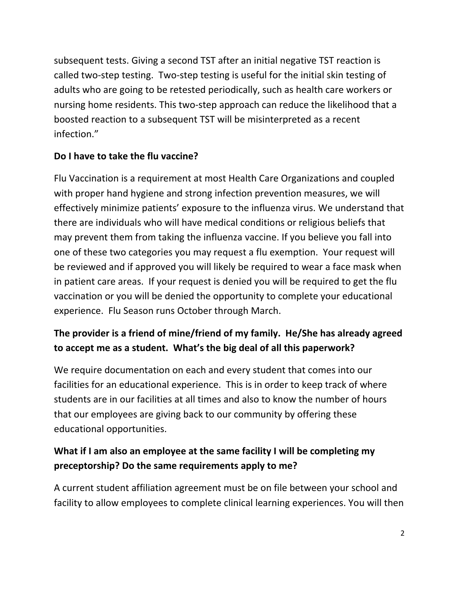subsequent tests. Giving a second TST after an initial negative TST reaction is called two‐step testing. Two‐step testing is useful for the initial skin testing of adults who are going to be retested periodically, such as health care workers or nursing home residents. This two‐step approach can reduce the likelihood that a boosted reaction to a subsequent TST will be misinterpreted as a recent infection."

#### **Do I have to take the flu vaccine?**

Flu Vaccination is a requirement at most Health Care Organizations and coupled with proper hand hygiene and strong infection prevention measures, we will effectively minimize patients' exposure to the influenza virus. We understand that there are individuals who will have medical conditions or religious beliefs that may prevent them from taking the influenza vaccine. If you believe you fall into one of these two categories you may request a flu exemption. Your request will be reviewed and if approved you will likely be required to wear a face mask when in patient care areas. If your request is denied you will be required to get the flu vaccination or you will be denied the opportunity to complete your educational experience. Flu Season runs October through March.

## **The provider is a friend of mine/friend of my family. He/She has already agreed to accept me as a student. What's the big deal of all this paperwork?**

We require documentation on each and every student that comes into our facilities for an educational experience. This is in order to keep track of where students are in our facilities at all times and also to know the number of hours that our employees are giving back to our community by offering these educational opportunities.

# **What if I am also an employee at the same facility I will be completing my preceptorship? Do the same requirements apply to me?**

A current student affiliation agreement must be on file between your school and facility to allow employees to complete clinical learning experiences. You will then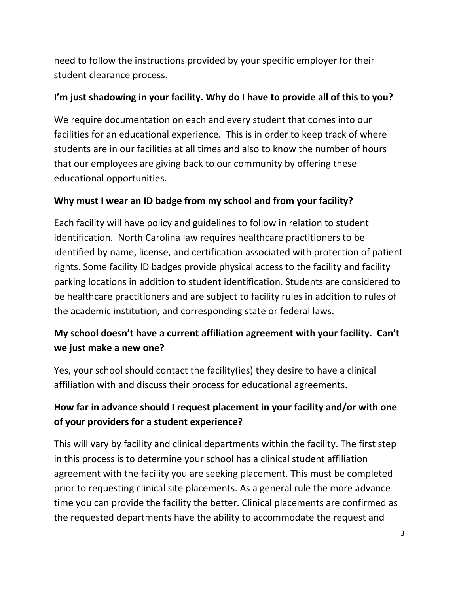need to follow the instructions provided by your specific employer for their student clearance process.

#### **I'm just shadowing in your facility. Why do I have to provide all of this to you?**

We require documentation on each and every student that comes into our facilities for an educational experience. This is in order to keep track of where students are in our facilities at all times and also to know the number of hours that our employees are giving back to our community by offering these educational opportunities.

### **Why must I wear an ID badge from my school and from your facility?**

Each facility will have policy and guidelines to follow in relation to student identification. North Carolina law requires healthcare practitioners to be identified by name, license, and certification associated with protection of patient rights. Some facility ID badges provide physical access to the facility and facility parking locations in addition to student identification. Students are considered to be healthcare practitioners and are subject to facility rules in addition to rules of the academic institution, and corresponding state or federal laws.

## **My school doesn't have a current affiliation agreement with your facility. Can't we just make a new one?**

Yes, your school should contact the facility(ies) they desire to have a clinical affiliation with and discuss their process for educational agreements.

## **How far in advance should I request placement in your facility and/or with one of your providers for a student experience?**

This will vary by facility and clinical departments within the facility. The first step in this process is to determine your school has a clinical student affiliation agreement with the facility you are seeking placement. This must be completed prior to requesting clinical site placements. As a general rule the more advance time you can provide the facility the better. Clinical placements are confirmed as the requested departments have the ability to accommodate the request and